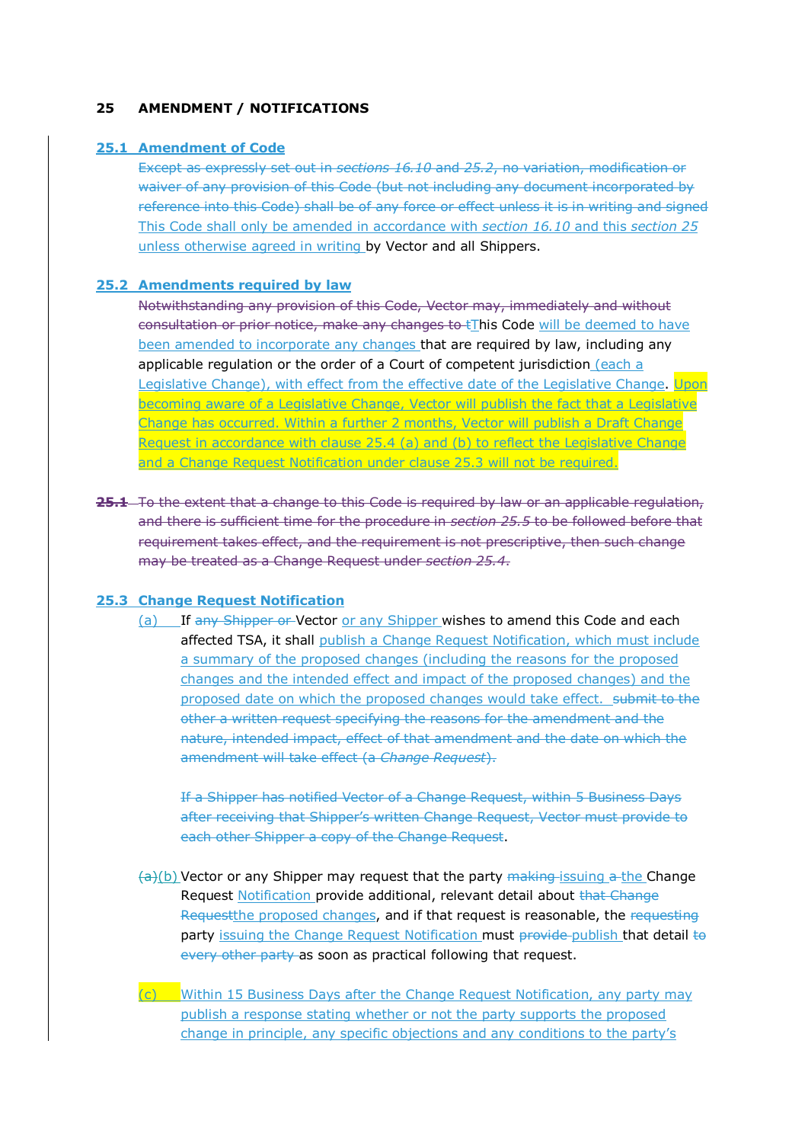## **25 AMENDMENT / NOTIFICATIONS**

### **25.1 Amendment of Code**

Except as expressly set out in *sections 16.10* and *25.2*, no variation, modification or waiver of any provision of this Code (but not including any document incorporated by reference into this Code) shall be of any force or effect unless it is in writing and signed This Code shall only be amended in accordance with *section 16.10* and this *section 25* unless otherwise agreed in writing by Vector and all Shippers.

### **25.2 Amendments required by law**

Notwithstanding any provision of this Code, Vector may, immediately and without consultation or prior notice, make any changes to tThis Code will be deemed to have been amended to incorporate any changes that are required by law, including any applicable regulation or the order of a Court of competent jurisdiction (each a Legislative Change), with effect from the effective date of the Legislative Change. Upon becoming aware of a Legislative Change, Vector will publish the fact that a Legislative Change has occurred. Within a further 2 months, Vector will publish a Draft Change Request in accordance with clause 25.4 (a) and (b) to reflect the Legislative Change and a Change Request Notification under clause 25.3 will not be required.

**25.1** To the extent that a change to this Code is required by law or an applicable regulation, and there is sufficient time for the procedure in *section 25.5* to be followed before that requirement takes effect, and the requirement is not prescriptive, then such change may be treated as a Change Request under *section 25.4*.

## **25.3 Change Request Notification**

(a) If any Shipper or Vector or any Shipper wishes to amend this Code and each affected TSA, it shall publish a Change Request Notification, which must include a summary of the proposed changes (including the reasons for the proposed changes and the intended effect and impact of the proposed changes) and the proposed date on which the proposed changes would take effect. submit to the other a written request specifying the reasons for the amendment and the nature, intended impact, effect of that amendment and the date on which the amendment will take effect (a *Change Request*).

If a Shipper has notified Vector of a Change Request, within 5 Business Days after receiving that Shipper's written Change Request, Vector must provide to each other Shipper a copy of the Change Request.

- $\left\langle \frac{1}{2}\right\rangle$ (b) Vector or any Shipper may request that the party making-issuing a the Change Request Notification provide additional, relevant detail about that Change Requestthe proposed changes, and if that request is reasonable, the requesting party issuing the Change Request Notification must provide publish that detail to every other party as soon as practical following that request.
- $(c)$  Within 15 Business Days after the Change Request Notification, any party may publish a response stating whether or not the party supports the proposed change in principle, any specific objections and any conditions to the party's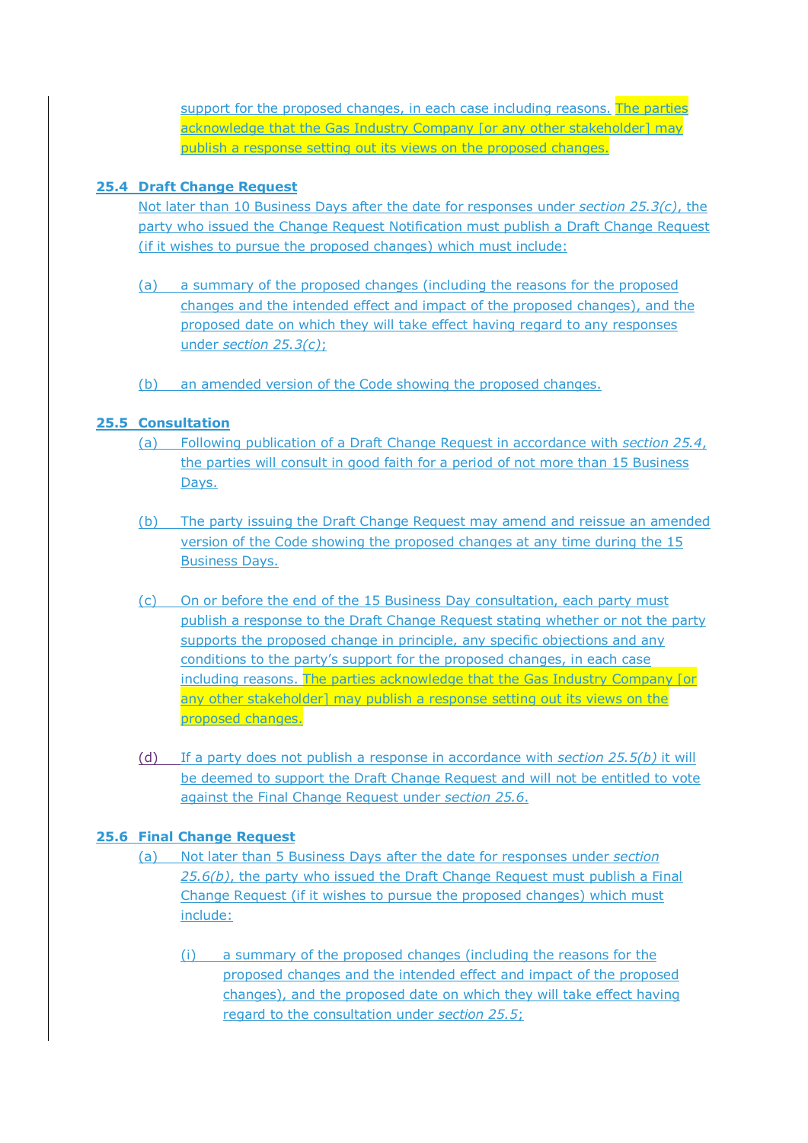support for the proposed changes, in each case including reasons. The parties acknowledge that the Gas Industry Company for any other stakeholder] may publish a response setting out its views on the proposed changes.

## **25.4 Draft Change Request**

Not later than 10 Business Days after the date for responses under *section 25.3(c)*, the party who issued the Change Request Notification must publish a Draft Change Request (if it wishes to pursue the proposed changes) which must include:

- (a) a summary of the proposed changes (including the reasons for the proposed changes and the intended effect and impact of the proposed changes), and the proposed date on which they will take effect having regard to any responses under *section 25.3(c)*;
- (b) an amended version of the Code showing the proposed changes.

# **25.5 Consultation**

- (a) Following publication of a Draft Change Request in accordance with *section 25.4*, the parties will consult in good faith for a period of not more than 15 Business Days.
- (b) The party issuing the Draft Change Request may amend and reissue an amended version of the Code showing the proposed changes at any time during the 15 Business Days.
- (c) On or before the end of the 15 Business Day consultation, each party must publish a response to the Draft Change Request stating whether or not the party supports the proposed change in principle, any specific objections and any conditions to the party's support for the proposed changes, in each case including reasons. The parties acknowledge that the Gas Industry Company [or any other stakeholder] may publish a response setting out its views on the proposed changes.
- (d) If a party does not publish a response in accordance with *section 25.5(b)* it will be deemed to support the Draft Change Request and will not be entitled to vote against the Final Change Request under *section 25.6*.

# **25.6 Final Change Request**

- (a) Not later than 5 Business Days after the date for responses under *section 25.6(b)*, the party who issued the Draft Change Request must publish a Final Change Request (if it wishes to pursue the proposed changes) which must include:
	- (i) a summary of the proposed changes (including the reasons for the proposed changes and the intended effect and impact of the proposed changes), and the proposed date on which they will take effect having regard to the consultation under *section 25.5*;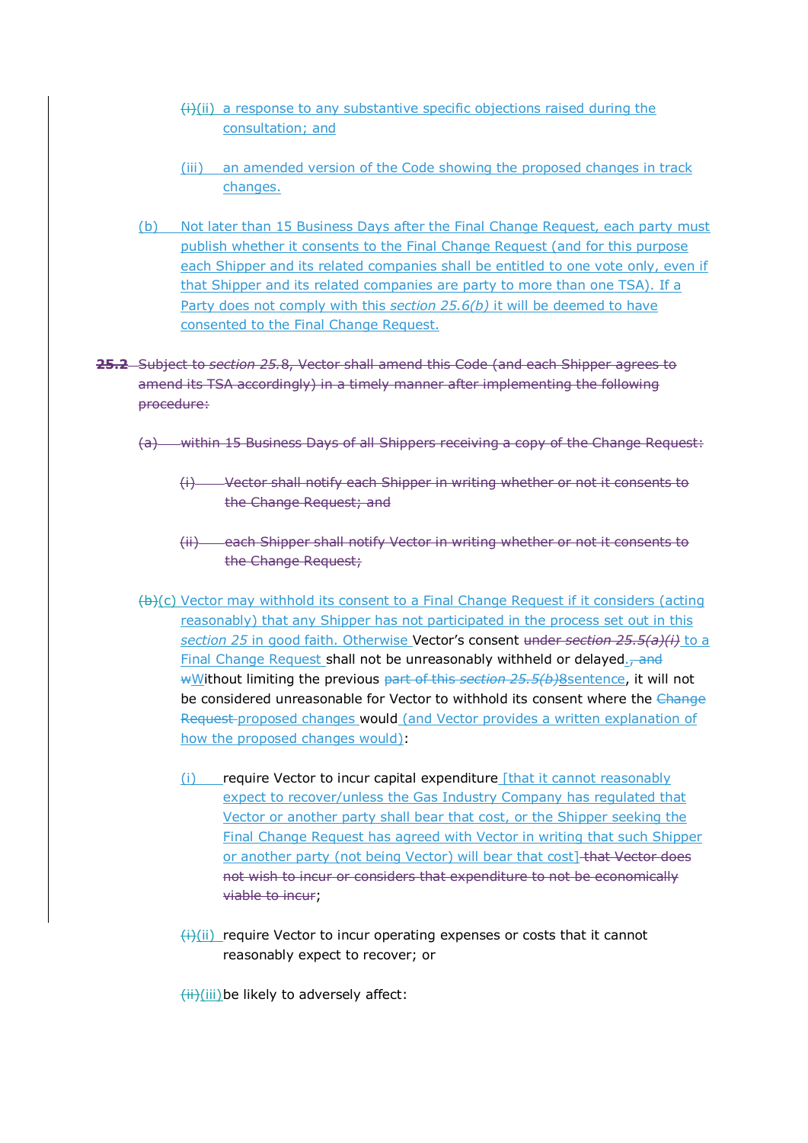- $(i)$ (ii) a response to any substantive specific objections raised during the consultation; and
- (iii) an amended version of the Code showing the proposed changes in track changes.
- (b) Not later than 15 Business Days after the Final Change Request, each party must publish whether it consents to the Final Change Request (and for this purpose each Shipper and its related companies shall be entitled to one vote only, even if that Shipper and its related companies are party to more than one TSA). If a Party does not comply with this *section 25.6(b)* it will be deemed to have consented to the Final Change Request.
- **25.2** Subject to *section 25.*8, Vector shall amend this Code (and each Shipper agrees to amend its TSA accordingly) in a timely manner after implementing the following procedure:
	- (a) within 15 Business Days of all Shippers receiving a copy of the Change Request:
		- (i) Vector shall notify each Shipper in writing whether or not it consents to the Change Request; and
		- (ii) each Shipper shall notify Vector in writing whether or not it consents to the Change Request;
	- (b)(c) Vector may withhold its consent to a Final Change Request if it considers (acting reasonably) that any Shipper has not participated in the process set out in this *section 25* in good faith. Otherwise Vector's consent under *section 25.5(a)(i)* to a Final Change Request shall not be unreasonably withheld or delayed.<sub>7</sub> and wWithout limiting the previous part of this *section 25.5(b)*8sentence, it will not be considered unreasonable for Vector to withhold its consent where the Change Request proposed changes would (and Vector provides a written explanation of how the proposed changes would):
		- (i) require Vector to incur capital expenditure [that it cannot reasonably expect to recover/unless the Gas Industry Company has regulated that Vector or another party shall bear that cost, or the Shipper seeking the Final Change Request has agreed with Vector in writing that such Shipper or another party (not being Vector) will bear that cost] that Vector does not wish to incur or considers that expenditure to not be economically viable to incur;
		- $\frac{f(x)}{f(x)}$  require Vector to incur operating expenses or costs that it cannot reasonably expect to recover; or

 $\overline{f(i)}$ (iii)be likely to adversely affect: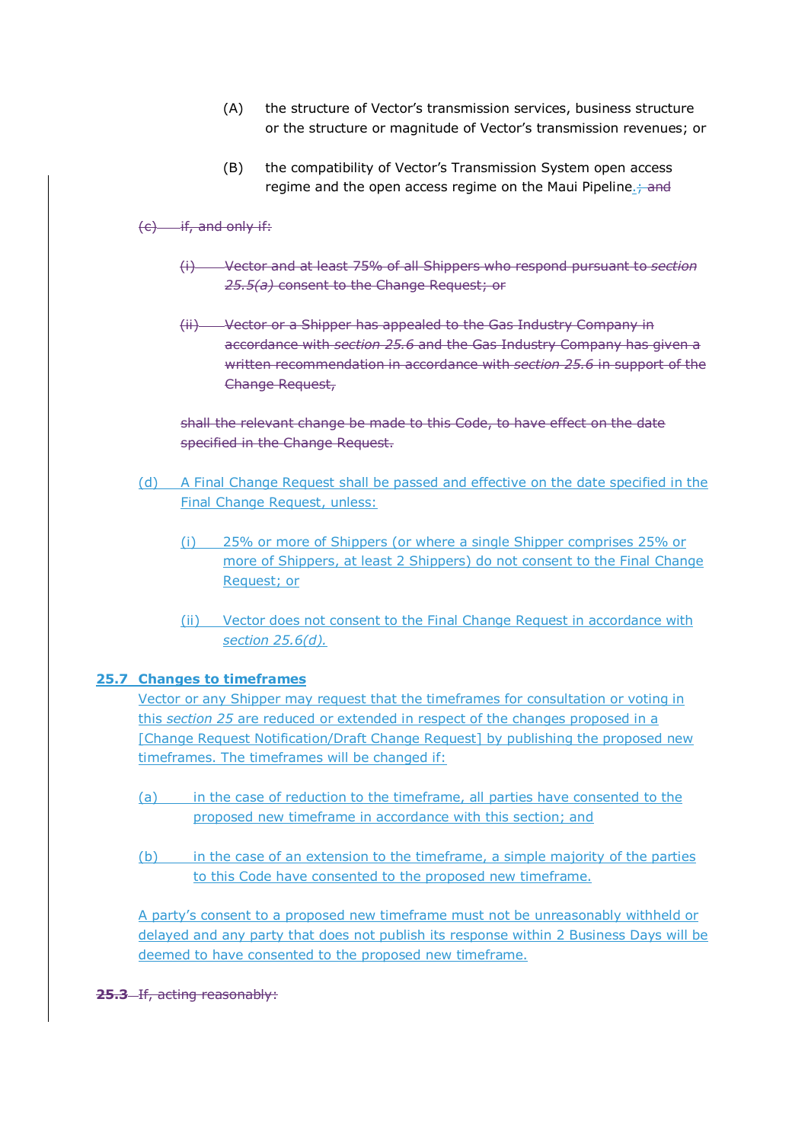- (A) the structure of Vector's transmission services, business structure or the structure or magnitude of Vector's transmission revenues; or
- (B) the compatibility of Vector's Transmission System open access regime and the open access regime on the Maui Pipeline.<sup>4</sup> and

## $(c)$  if, and only if:

- (i) Vector and at least 75% of all Shippers who respond pursuant to *section 25.5(a)* consent to the Change Request; or
- (ii) Vector or a Shipper has appealed to the Gas Industry Company in accordance with *section 25.6* and the Gas Industry Company has given a written recommendation in accordance with *section 25.6* in support of the Change Request,

shall the relevant change be made to this Code, to have effect on the date specified in the Change Request.

- (d) A Final Change Request shall be passed and effective on the date specified in the Final Change Request, unless:
	- (i) 25% or more of Shippers (or where a single Shipper comprises 25% or more of Shippers, at least 2 Shippers) do not consent to the Final Change Request; or
	- (ii) Vector does not consent to the Final Change Request in accordance with *section 25.6(d).*

### **25.7 Changes to timeframes**

Vector or any Shipper may request that the timeframes for consultation or voting in this *section 25* are reduced or extended in respect of the changes proposed in a [Change Request Notification/Draft Change Request] by publishing the proposed new timeframes. The timeframes will be changed if:

- (a) in the case of reduction to the timeframe, all parties have consented to the proposed new timeframe in accordance with this section; and
- (b) in the case of an extension to the timeframe, a simple majority of the parties to this Code have consented to the proposed new timeframe.

A party's consent to a proposed new timeframe must not be unreasonably withheld or delayed and any party that does not publish its response within 2 Business Days will be deemed to have consented to the proposed new timeframe.

**25.3** If, acting reasonably: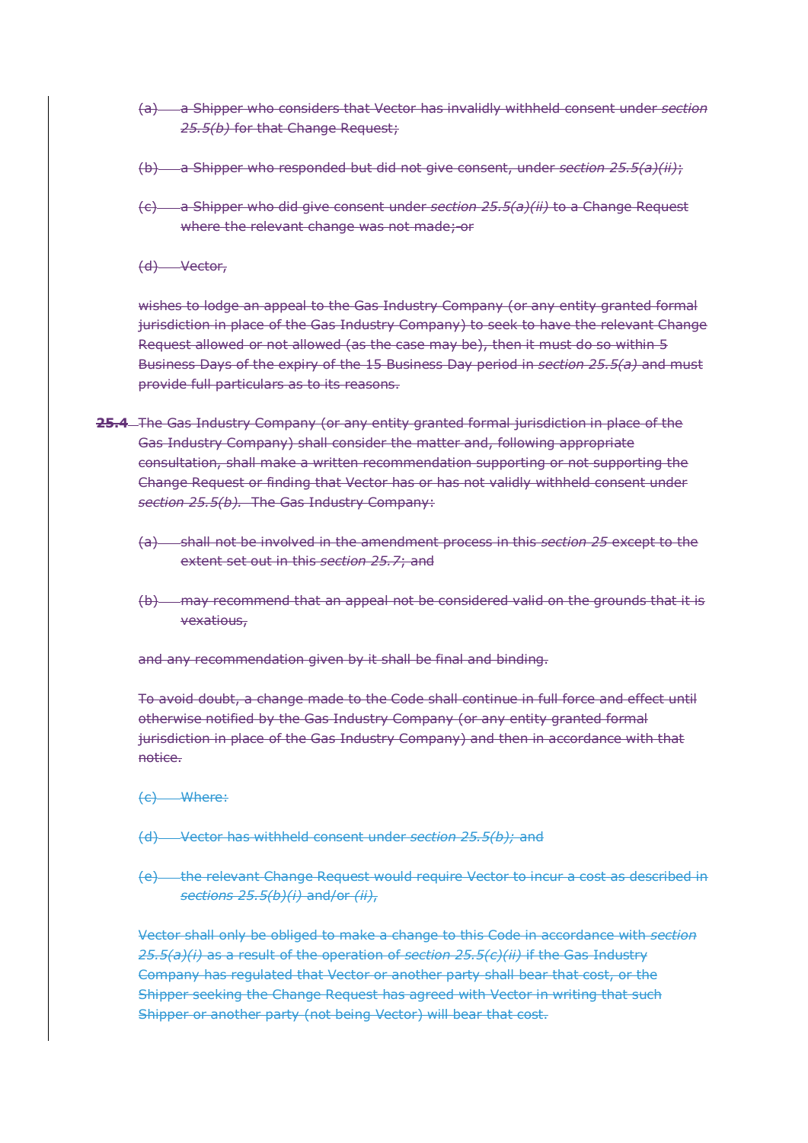- (a) a Shipper who considers that Vector has invalidly withheld consent under *section 25.5(b)* for that Change Request;
- (b) a Shipper who responded but did not give consent, under *section 25.5(a)(ii)*;
- (c) a Shipper who did give consent under *section 25.5(a)(ii)* to a Change Request where the relevant change was not made; or
- (d) Vector,

wishes to lodge an appeal to the Gas Industry Company (or any entity granted formal jurisdiction in place of the Gas Industry Company) to seek to have the relevant Change Request allowed or not allowed (as the case may be), then it must do so within 5 Business Days of the expiry of the 15 Business Day period in *section 25.5(a)* and must provide full particulars as to its reasons.

- **25.4** The Gas Industry Company (or any entity granted formal jurisdiction in place of the Gas Industry Company) shall consider the matter and, following appropriate consultation, shall make a written recommendation supporting or not supporting the Change Request or finding that Vector has or has not validly withheld consent under *section 25.5(b).* The Gas Industry Company:
	- (a) shall not be involved in the amendment process in this *section 25* except to the extent set out in this *section 25.7*; and
	- (b) may recommend that an appeal not be considered valid on the grounds that it is vexatious,

and any recommendation given by it shall be final and binding.

To avoid doubt, a change made to the Code shall continue in full force and effect until otherwise notified by the Gas Industry Company (or any entity granted formal jurisdiction in place of the Gas Industry Company) and then in accordance with that notice.

- (c) Where:
- (d) Vector has withheld consent under *section 25.5(b);* and
- (e) the relevant Change Request would require Vector to incur a cost as described in *sections 25.5(b)(i)* and/or *(ii)*,

Vector shall only be obliged to make a change to this Code in accordance with *section 25.5(a)(i)* as a result of the operation of *section 25.5(c)(ii)* if the Gas Industry Company has regulated that Vector or another party shall bear that cost, or the Shipper seeking the Change Request has agreed with Vector in writing that such Shipper or another party (not being Vector) will bear that cost.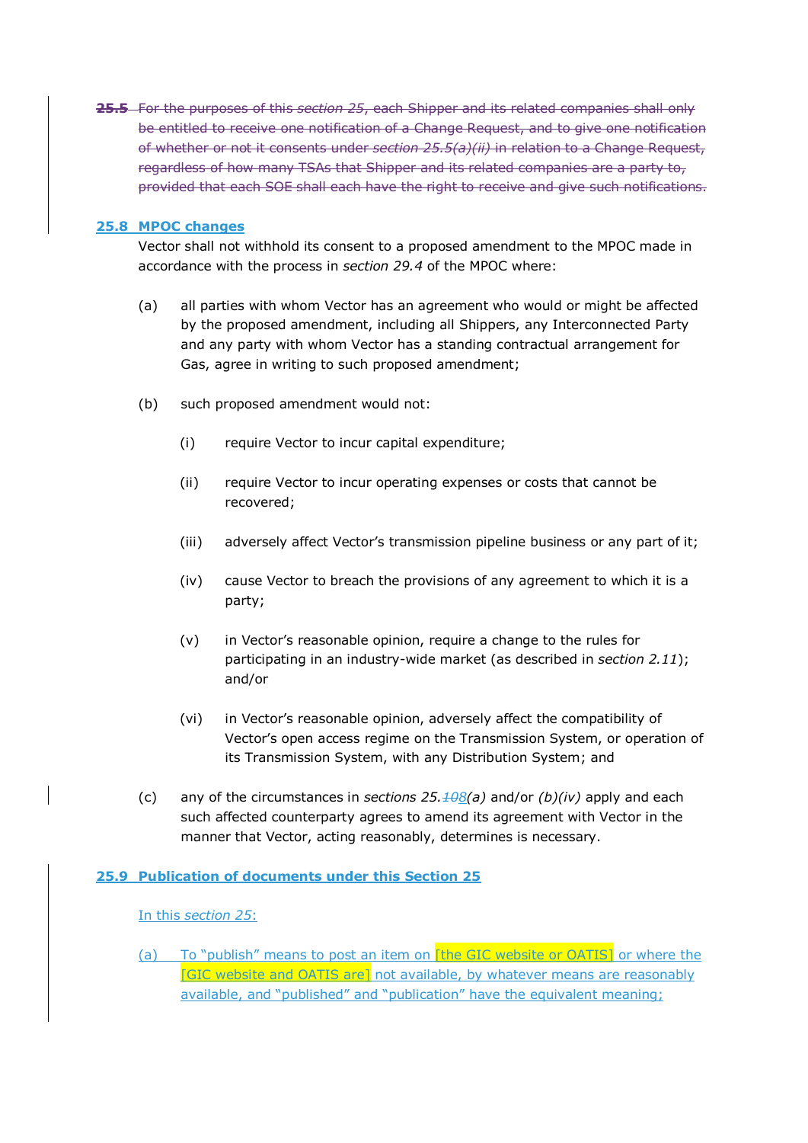**25.5** For the purposes of this *section 25*, each Shipper and its related companies shall only be entitled to receive one notification of a Change Request, and to give one notification of whether or not it consents under *section 25.5(a)(ii)* in relation to a Change Request, regardless of how many TSAs that Shipper and its related companies are a party to, provided that each SOE shall each have the right to receive and give such notifications.

## **25.8 MPOC changes**

Vector shall not withhold its consent to a proposed amendment to the MPOC made in accordance with the process in *section 29.4* of the MPOC where:

- (a) all parties with whom Vector has an agreement who would or might be affected by the proposed amendment, including all Shippers, any Interconnected Party and any party with whom Vector has a standing contractual arrangement for Gas, agree in writing to such proposed amendment;
- (b) such proposed amendment would not:
	- (i) require Vector to incur capital expenditure;
	- (ii) require Vector to incur operating expenses or costs that cannot be recovered;
	- (iii) adversely affect Vector's transmission pipeline business or any part of it;
	- (iv) cause Vector to breach the provisions of any agreement to which it is a party;
	- (v) in Vector's reasonable opinion, require a change to the rules for participating in an industry-wide market (as described in *section 2.11*); and/or
	- (vi) in Vector's reasonable opinion, adversely affect the compatibility of Vector's open access regime on the Transmission System, or operation of its Transmission System, with any Distribution System; and
- (c) any of the circumstances in *sections 25.108(a)* and/or *(b)(iv)* apply and each such affected counterparty agrees to amend its agreement with Vector in the manner that Vector, acting reasonably, determines is necessary.

## **25.9 Publication of documents under this Section 25**

### In this *section 25*:

(a) To "publish" means to post an item on [the GIC website or OATIS] or where the [GIC website and OATIS are] not available, by whatever means are reasonably available, and "published" and "publication" have the equivalent meaning;